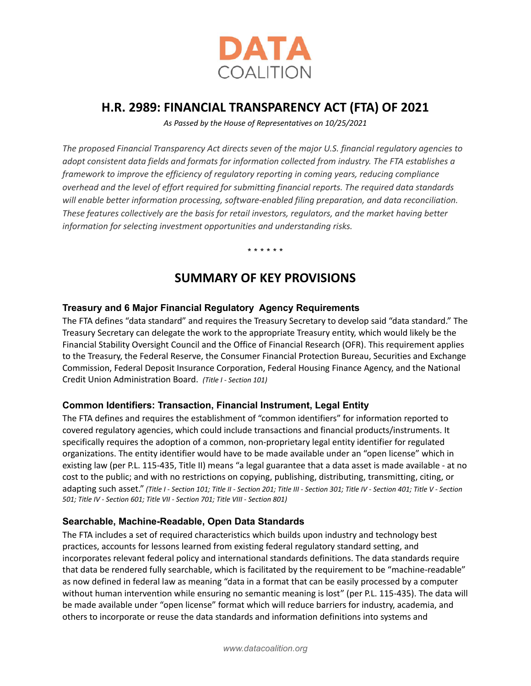

# **H.R. 2989: FINANCIAL TRANSPARENCY ACT (FTA) OF 2021**

*As Passed by the House of Representatives on 10/25/2021*

*The proposed Financial Transparency Act directs seven of the major U.S. financial regulatory agencies to adopt consistent data fields and formats for information collected from industry. The FTA establishes a framework to improve the efficiency of regulatory reporting in coming years, reducing compliance overhead and the level of effort required for submitting financial reports. The required data standards will enable better information processing, software-enabled filing preparation, and data reconciliation. These features collectively are the basis for retail investors, regulators, and the market having better information for selecting investment opportunities and understanding risks.*

\* \* \* \* \* \*

## **SUMMARY OF KEY PROVISIONS**

## **Treasury and 6 Major Financial Regulatory Agency Requirements**

The FTA defines "data standard" and requires the Treasury Secretary to develop said "data standard." The Treasury Secretary can delegate the work to the appropriate Treasury entity, which would likely be the Financial Stability Oversight Council and the Office of Financial Research (OFR). This requirement applies to the Treasury, the Federal Reserve, the Consumer Financial Protection Bureau, Securities and Exchange Commission, Federal Deposit Insurance Corporation, Federal Housing Finance Agency, and the National Credit Union Administration Board. *(Title I - Section 101)*

## **Common Identifiers: Transaction, Financial Instrument, Legal Entity**

The FTA defines and requires the establishment of "common identifiers" for information reported to covered regulatory agencies, which could include transactions and financial products/instruments. It specifically requires the adoption of a common, non-proprietary legal entity identifier for regulated organizations. The entity identifier would have to be made available under an "open license" which in existing law (per P.L. 115-435, Title II) means "a legal guarantee that a data asset is made available - at no cost to the public; and with no restrictions on copying, publishing, distributing, transmitting, citing, or adapting such asset." *(Title I - Section 101; Title II - Section 201; Title III - Section 301; Title IV - Section 401; Title V - Section 501; Title IV - Section 601; Title VII - Section 701; Title VIII - Section 801)*

#### **Searchable, Machine-Readable, Open Data Standards**

The FTA includes a set of required characteristics which builds upon industry and technology best practices, accounts for lessons learned from existing federal regulatory standard setting, and incorporates relevant federal policy and international standards definitions. The data standards require that data be rendered fully searchable, which is facilitated by the requirement to be "machine-readable" as now defined in federal law as meaning "data in a format that can be easily processed by a computer without human intervention while ensuring no semantic meaning is lost" (per P.L. 115-435). The data will be made available under "open license" format which will reduce barriers for industry, academia, and others to incorporate or reuse the data standards and information definitions into systems and